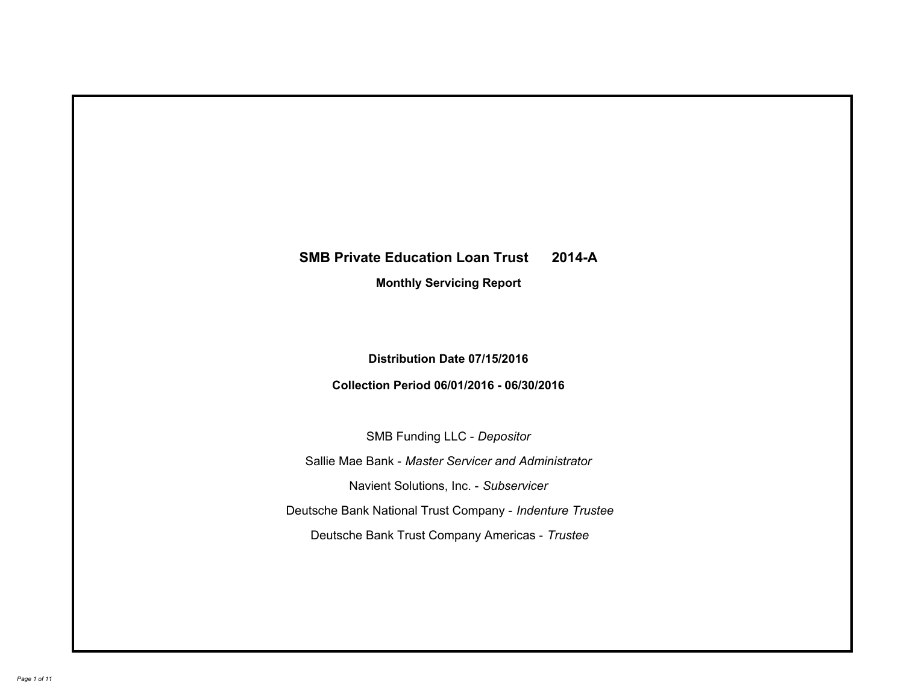# **SMB Private Education Loan Trust 2014-A Monthly Servicing Report**

# **Distribution Date 07/15/2016**

# **Collection Period 06/01/2016 - 06/30/2016**

SMB Funding LLC - *Depositor*

Sallie Mae Bank - *Master Servicer and Administrator*

Navient Solutions, Inc. - *Subservicer*

Deutsche Bank National Trust Company - *Indenture Trustee*

Deutsche Bank Trust Company Americas - *Trustee*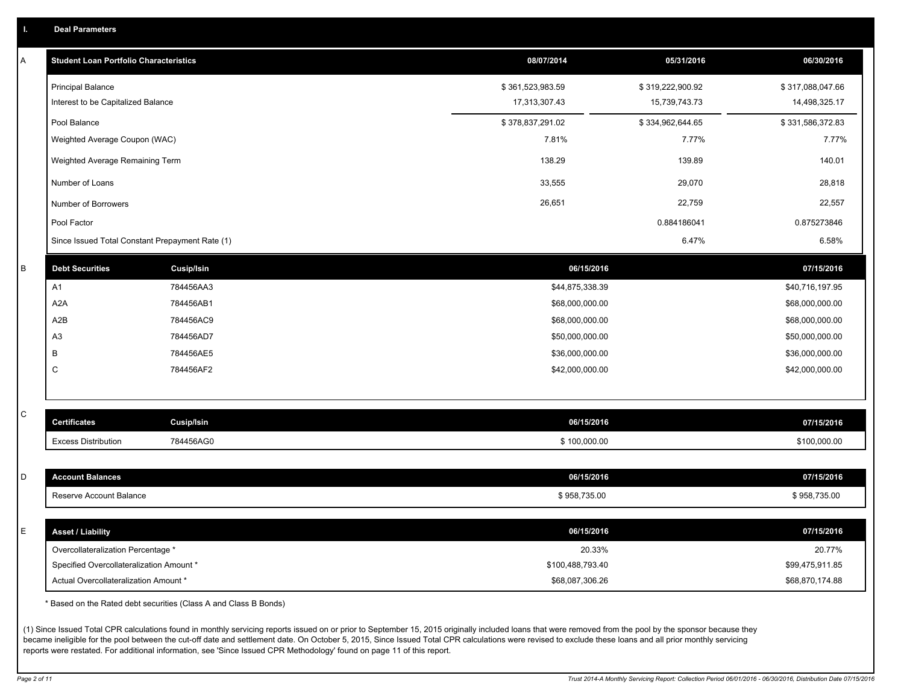|  |  |  | <b>Deal Parameters</b> |  |
|--|--|--|------------------------|--|
|--|--|--|------------------------|--|

| Α           | <b>Student Loan Portfolio Characteristics</b>   |                   | 08/07/2014       | 05/31/2016       | 06/30/2016       |
|-------------|-------------------------------------------------|-------------------|------------------|------------------|------------------|
|             | <b>Principal Balance</b>                        |                   | \$361,523,983.59 | \$319,222,900.92 | \$317,088,047.66 |
|             | Interest to be Capitalized Balance              |                   | 17,313,307.43    | 15,739,743.73    | 14,498,325.17    |
|             | Pool Balance                                    |                   | \$378,837,291.02 | \$334,962,644.65 | \$331,586,372.83 |
|             | Weighted Average Coupon (WAC)                   |                   | 7.81%            | 7.77%            | 7.77%            |
|             | Weighted Average Remaining Term                 |                   | 138.29           | 139.89           | 140.01           |
|             | Number of Loans                                 |                   | 33,555           | 29,070           | 28,818           |
|             | Number of Borrowers                             |                   | 26,651           | 22,759           | 22,557           |
|             | Pool Factor                                     |                   |                  | 0.884186041      | 0.875273846      |
|             | Since Issued Total Constant Prepayment Rate (1) |                   |                  | 6.47%            | 6.58%            |
| $\sf B$     | <b>Debt Securities</b>                          | <b>Cusip/Isin</b> | 06/15/2016       |                  | 07/15/2016       |
|             | A1                                              | 784456AA3         | \$44,875,338.39  |                  | \$40,716,197.95  |
|             | A <sub>2</sub> A                                | 784456AB1         | \$68,000,000.00  |                  | \$68,000,000.00  |
|             | A2B                                             | 784456AC9         | \$68,000,000.00  |                  | \$68,000,000.00  |
|             | A <sub>3</sub>                                  | 784456AD7         | \$50,000,000.00  |                  | \$50,000,000.00  |
|             | В                                               | 784456AE5         | \$36,000,000.00  |                  | \$36,000,000.00  |
|             | C                                               | 784456AF2         | \$42,000,000.00  |                  | \$42,000,000.00  |
|             |                                                 |                   |                  |                  |                  |
| $\mathsf C$ | <b>Certificates</b>                             | <b>Cusip/Isin</b> | 06/15/2016       |                  | 07/15/2016       |
|             | <b>Excess Distribution</b>                      | 784456AG0         | \$100,000.00     |                  | \$100,000.00     |
|             |                                                 |                   |                  |                  |                  |
| D           | <b>Account Balances</b>                         |                   | 06/15/2016       |                  | 07/15/2016       |
|             | Reserve Account Balance                         |                   | \$958,735.00     |                  | \$958,735.00     |
|             |                                                 |                   |                  |                  |                  |
| E           | <b>Asset / Liability</b>                        |                   | 06/15/2016       |                  | 07/15/2016       |
|             | Overcollateralization Percentage *              |                   | 20.33%           |                  | 20.77%           |
|             | Specified Overcollateralization Amount *        |                   | \$100,488,793.40 |                  | \$99,475,911.85  |
|             | Actual Overcollateralization Amount *           |                   | \$68,087,306.26  |                  | \$68,870,174.88  |

\* Based on the Rated debt securities (Class A and Class B Bonds)

(1) Since Issued Total CPR calculations found in monthly servicing reports issued on or prior to September 15, 2015 originally included loans that were removed from the pool by the sponsor because they became ineligible for the pool between the cut-off date and settlement date. On October 5, 2015, Since Issued Total CPR calculations were revised to exclude these loans and all prior monthly servicing reports were restated. For additional information, see 'Since Issued CPR Methodology' found on page 11 of this report.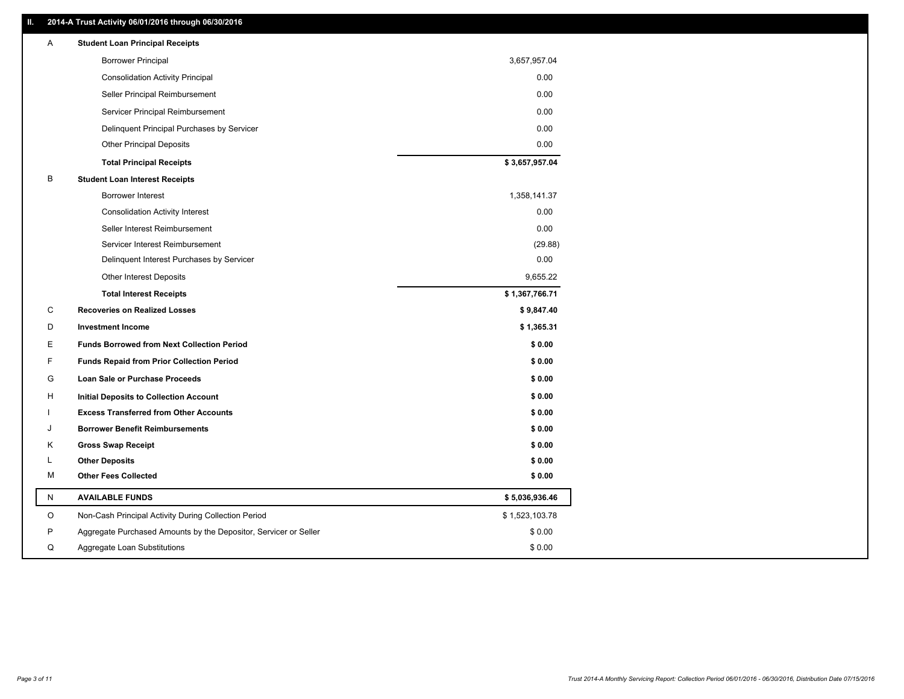### **II. 2014-A Trust Activity 06/01/2016 through 06/30/2016**

| Α            | <b>Student Loan Principal Receipts</b>                           |                |
|--------------|------------------------------------------------------------------|----------------|
|              | <b>Borrower Principal</b>                                        | 3,657,957.04   |
|              | <b>Consolidation Activity Principal</b>                          | 0.00           |
|              | Seller Principal Reimbursement                                   | 0.00           |
|              | Servicer Principal Reimbursement                                 | 0.00           |
|              | Delinquent Principal Purchases by Servicer                       | 0.00           |
|              | <b>Other Principal Deposits</b>                                  | 0.00           |
|              | <b>Total Principal Receipts</b>                                  | \$3,657,957.04 |
| B            | <b>Student Loan Interest Receipts</b>                            |                |
|              | <b>Borrower Interest</b>                                         | 1,358,141.37   |
|              | <b>Consolidation Activity Interest</b>                           | 0.00           |
|              | Seller Interest Reimbursement                                    | 0.00           |
|              | Servicer Interest Reimbursement                                  | (29.88)        |
|              | Delinquent Interest Purchases by Servicer                        | 0.00           |
|              | <b>Other Interest Deposits</b>                                   | 9,655.22       |
|              | <b>Total Interest Receipts</b>                                   | \$1,367,766.71 |
| C            | <b>Recoveries on Realized Losses</b>                             | \$9,847.40     |
| D            | <b>Investment Income</b>                                         | \$1,365.31     |
| Е            | <b>Funds Borrowed from Next Collection Period</b>                | \$0.00         |
| F            | <b>Funds Repaid from Prior Collection Period</b>                 | \$0.00         |
| G            | <b>Loan Sale or Purchase Proceeds</b>                            | \$0.00         |
| н            | <b>Initial Deposits to Collection Account</b>                    | \$0.00         |
|              | <b>Excess Transferred from Other Accounts</b>                    | \$0.00         |
|              | <b>Borrower Benefit Reimbursements</b>                           | \$0.00         |
| Κ            | <b>Gross Swap Receipt</b>                                        | \$0.00         |
| L            | <b>Other Deposits</b>                                            | \$0.00         |
| м            | <b>Other Fees Collected</b>                                      | \$0.00         |
| $\mathsf{N}$ | <b>AVAILABLE FUNDS</b>                                           | \$5,036,936.46 |
| O            | Non-Cash Principal Activity During Collection Period             | \$1,523,103.78 |
| P            | Aggregate Purchased Amounts by the Depositor, Servicer or Seller | \$0.00         |
| Q            | Aggregate Loan Substitutions                                     | \$0.00         |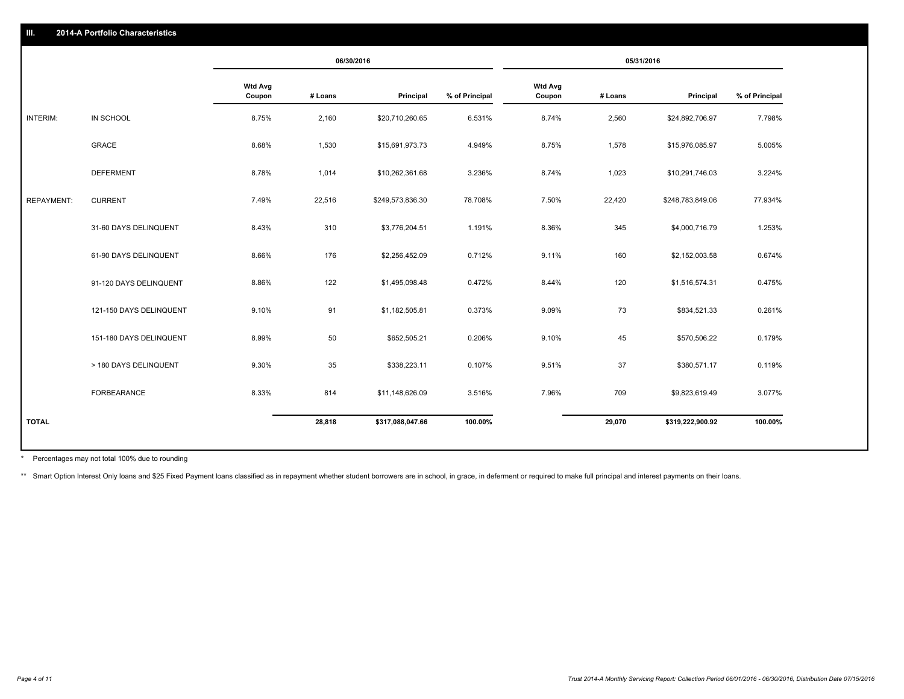|                   |                         | 06/30/2016               |         | 05/31/2016       |                |                          |         |                  |                |
|-------------------|-------------------------|--------------------------|---------|------------------|----------------|--------------------------|---------|------------------|----------------|
|                   |                         | <b>Wtd Avg</b><br>Coupon | # Loans | Principal        | % of Principal | <b>Wtd Avg</b><br>Coupon | # Loans | Principal        | % of Principal |
| INTERIM:          | IN SCHOOL               | 8.75%                    | 2,160   | \$20,710,260.65  | 6.531%         | 8.74%                    | 2,560   | \$24,892,706.97  | 7.798%         |
|                   | GRACE                   | 8.68%                    | 1,530   | \$15,691,973.73  | 4.949%         | 8.75%                    | 1,578   | \$15,976,085.97  | 5.005%         |
|                   | <b>DEFERMENT</b>        | 8.78%                    | 1,014   | \$10,262,361.68  | 3.236%         | 8.74%                    | 1,023   | \$10,291,746.03  | 3.224%         |
| <b>REPAYMENT:</b> | <b>CURRENT</b>          | 7.49%                    | 22,516  | \$249,573,836.30 | 78.708%        | 7.50%                    | 22,420  | \$248,783,849.06 | 77.934%        |
|                   | 31-60 DAYS DELINQUENT   | 8.43%                    | 310     | \$3,776,204.51   | 1.191%         | 8.36%                    | 345     | \$4,000,716.79   | 1.253%         |
|                   | 61-90 DAYS DELINQUENT   | 8.66%                    | 176     | \$2,256,452.09   | 0.712%         | 9.11%                    | 160     | \$2,152,003.58   | 0.674%         |
|                   | 91-120 DAYS DELINQUENT  | 8.86%                    | 122     | \$1,495,098.48   | 0.472%         | 8.44%                    | 120     | \$1,516,574.31   | 0.475%         |
|                   | 121-150 DAYS DELINQUENT | 9.10%                    | 91      | \$1,182,505.81   | 0.373%         | 9.09%                    | 73      | \$834,521.33     | 0.261%         |
|                   | 151-180 DAYS DELINQUENT | 8.99%                    | 50      | \$652,505.21     | 0.206%         | 9.10%                    | 45      | \$570,506.22     | 0.179%         |
|                   | > 180 DAYS DELINQUENT   | 9.30%                    | 35      | \$338,223.11     | 0.107%         | 9.51%                    | 37      | \$380,571.17     | 0.119%         |
|                   | FORBEARANCE             | 8.33%                    | 814     | \$11,148,626.09  | 3.516%         | 7.96%                    | 709     | \$9,823,619.49   | 3.077%         |
| <b>TOTAL</b>      |                         |                          | 28,818  | \$317,088,047.66 | 100.00%        |                          | 29,070  | \$319,222,900.92 | 100.00%        |

Percentages may not total 100% due to rounding \*

\*\* Smart Option Interest Only loans and \$25 Fixed Payment loans classified as in repayment whether student borrowers are in school, in grace, in deferment or required to make full principal and interest payments on their l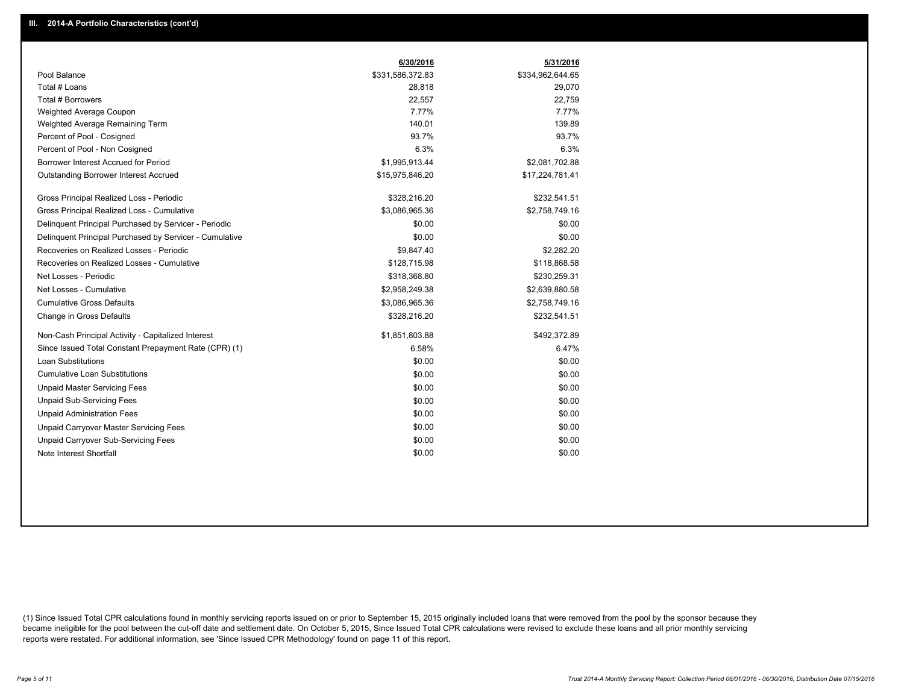|                                                         | 6/30/2016        | 5/31/2016        |
|---------------------------------------------------------|------------------|------------------|
| Pool Balance                                            | \$331,586,372.83 | \$334,962,644.65 |
| Total # Loans                                           | 28,818           | 29,070           |
| Total # Borrowers                                       | 22,557           | 22.759           |
| Weighted Average Coupon                                 | 7.77%            | 7.77%            |
| Weighted Average Remaining Term                         | 140.01           | 139.89           |
| Percent of Pool - Cosigned                              | 93.7%            | 93.7%            |
| Percent of Pool - Non Cosigned                          | 6.3%             | 6.3%             |
| Borrower Interest Accrued for Period                    | \$1,995,913.44   | \$2,081,702.88   |
| Outstanding Borrower Interest Accrued                   | \$15,975,846.20  | \$17,224,781.41  |
| Gross Principal Realized Loss - Periodic                | \$328,216.20     | \$232,541.51     |
| Gross Principal Realized Loss - Cumulative              | \$3,086,965.36   | \$2,758,749.16   |
| Delinquent Principal Purchased by Servicer - Periodic   | \$0.00           | \$0.00           |
| Delinquent Principal Purchased by Servicer - Cumulative | \$0.00           | \$0.00           |
| Recoveries on Realized Losses - Periodic                | \$9,847.40       | \$2,282.20       |
| Recoveries on Realized Losses - Cumulative              | \$128,715.98     | \$118,868.58     |
| Net Losses - Periodic                                   | \$318,368.80     | \$230,259.31     |
| Net Losses - Cumulative                                 | \$2,958,249.38   | \$2,639,880.58   |
| <b>Cumulative Gross Defaults</b>                        | \$3,086,965.36   | \$2,758,749.16   |
| Change in Gross Defaults                                | \$328,216.20     | \$232,541.51     |
| Non-Cash Principal Activity - Capitalized Interest      | \$1,851,803.88   | \$492,372.89     |
| Since Issued Total Constant Prepayment Rate (CPR) (1)   | 6.58%            | 6.47%            |
| Loan Substitutions                                      | \$0.00           | \$0.00           |
| <b>Cumulative Loan Substitutions</b>                    | \$0.00           | \$0.00           |
| <b>Unpaid Master Servicing Fees</b>                     | \$0.00           | \$0.00           |
| <b>Unpaid Sub-Servicing Fees</b>                        | \$0.00           | \$0.00           |
| <b>Unpaid Administration Fees</b>                       | \$0.00           | \$0.00           |
| Unpaid Carryover Master Servicing Fees                  | \$0.00           | \$0.00           |
| <b>Unpaid Carryover Sub-Servicing Fees</b>              | \$0.00           | \$0.00           |
| Note Interest Shortfall                                 | \$0.00           | \$0.00           |

(1) Since Issued Total CPR calculations found in monthly servicing reports issued on or prior to September 15, 2015 originally included loans that were removed from the pool by the sponsor because they became ineligible for the pool between the cut-off date and settlement date. On October 5, 2015, Since Issued Total CPR calculations were revised to exclude these loans and all prior monthly servicing reports were restated. For additional information, see 'Since Issued CPR Methodology' found on page 11 of this report.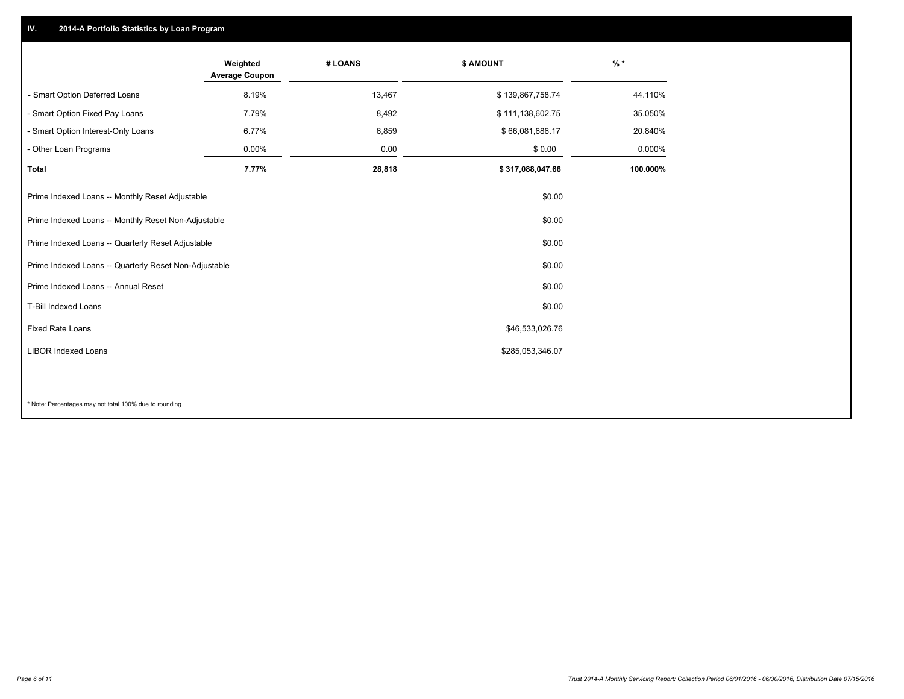## **IV. 2014-A Portfolio Statistics by Loan Program**

|                                                 | Weighted<br><b>Average Coupon</b>                               | # LOANS | \$ AMOUNT        | $%$ *    |  |
|-------------------------------------------------|-----------------------------------------------------------------|---------|------------------|----------|--|
| - Smart Option Deferred Loans                   | 8.19%                                                           | 13,467  | \$139,867,758.74 | 44.110%  |  |
| - Smart Option Fixed Pay Loans                  | 7.79%                                                           | 8,492   | \$111,138,602.75 | 35.050%  |  |
| - Smart Option Interest-Only Loans              | 6.77%                                                           | 6,859   | \$66,081,686.17  | 20.840%  |  |
| - Other Loan Programs                           | 0.00%                                                           | 0.00    | \$0.00           | 0.000%   |  |
| <b>Total</b>                                    | 7.77%                                                           | 28,818  | \$317,088,047.66 | 100.000% |  |
| Prime Indexed Loans -- Monthly Reset Adjustable |                                                                 |         | \$0.00           |          |  |
|                                                 | Prime Indexed Loans -- Monthly Reset Non-Adjustable<br>\$0.00   |         |                  |          |  |
|                                                 | Prime Indexed Loans -- Quarterly Reset Adjustable<br>\$0.00     |         |                  |          |  |
|                                                 | Prime Indexed Loans -- Quarterly Reset Non-Adjustable<br>\$0.00 |         |                  |          |  |
| Prime Indexed Loans -- Annual Reset             |                                                                 |         | \$0.00           |          |  |
| T-Bill Indexed Loans                            |                                                                 |         | \$0.00           |          |  |
| Fixed Rate Loans                                |                                                                 |         | \$46,533,026.76  |          |  |
| <b>LIBOR Indexed Loans</b>                      |                                                                 |         | \$285,053,346.07 |          |  |
|                                                 |                                                                 |         |                  |          |  |

\* Note: Percentages may not total 100% due to rounding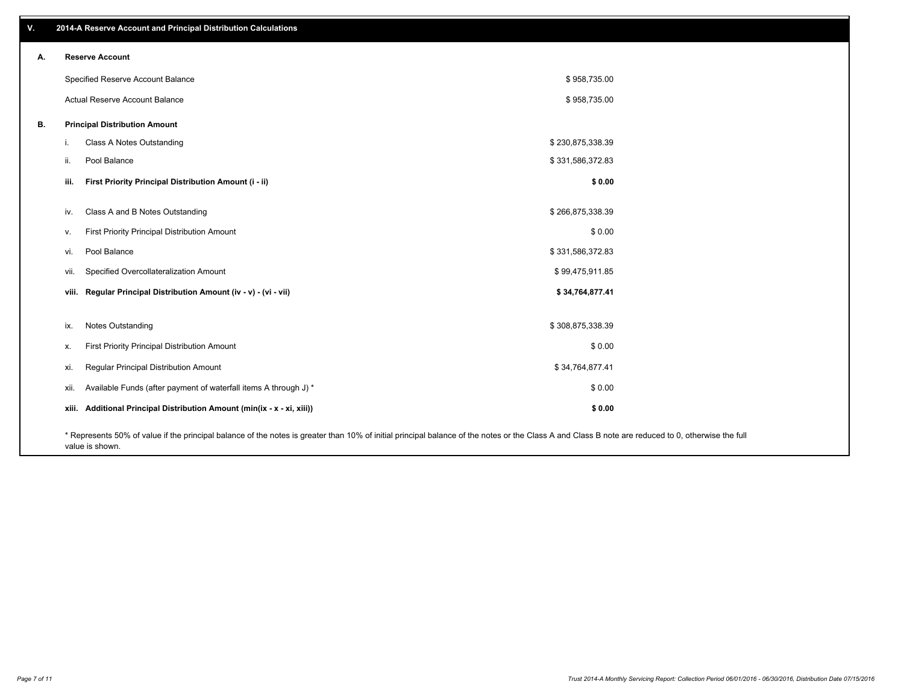| v. | 2014-A Reserve Account and Principal Distribution Calculations                                                                                                                                     |                  |  |
|----|----------------------------------------------------------------------------------------------------------------------------------------------------------------------------------------------------|------------------|--|
| А. | <b>Reserve Account</b>                                                                                                                                                                             |                  |  |
|    | Specified Reserve Account Balance                                                                                                                                                                  | \$958,735.00     |  |
|    | Actual Reserve Account Balance                                                                                                                                                                     | \$958,735.00     |  |
| В. | <b>Principal Distribution Amount</b>                                                                                                                                                               |                  |  |
|    | Class A Notes Outstanding<br>i.                                                                                                                                                                    | \$230,875,338.39 |  |
|    | Pool Balance<br>ii.                                                                                                                                                                                | \$331,586,372.83 |  |
|    | First Priority Principal Distribution Amount (i - ii)<br>iii.                                                                                                                                      | \$0.00           |  |
|    | Class A and B Notes Outstanding<br>iv.                                                                                                                                                             | \$266,875,338.39 |  |
|    | First Priority Principal Distribution Amount<br>V.                                                                                                                                                 | \$0.00           |  |
|    | Pool Balance<br>vi.                                                                                                                                                                                | \$331,586,372.83 |  |
|    | Specified Overcollateralization Amount<br>vii.                                                                                                                                                     | \$99,475,911.85  |  |
|    | viii. Regular Principal Distribution Amount (iv - v) - (vi - vii)                                                                                                                                  | \$34,764,877.41  |  |
|    | Notes Outstanding<br>ix.                                                                                                                                                                           | \$308,875,338.39 |  |
|    | First Priority Principal Distribution Amount<br>Х.                                                                                                                                                 | \$0.00           |  |
|    | Regular Principal Distribution Amount<br>xi.                                                                                                                                                       | \$34,764,877.41  |  |
|    | Available Funds (after payment of waterfall items A through J) *<br>xii.                                                                                                                           | \$0.00           |  |
|    | xiii. Additional Principal Distribution Amount (min(ix - x - xi, xiii))                                                                                                                            | \$0.00           |  |
|    | * Represents 50% of value if the principal balance of the notes is greater than 10% of initial principal balance of the notes or the Class A and Class B note are reduced to 0, otherwise the full |                  |  |

value is shown.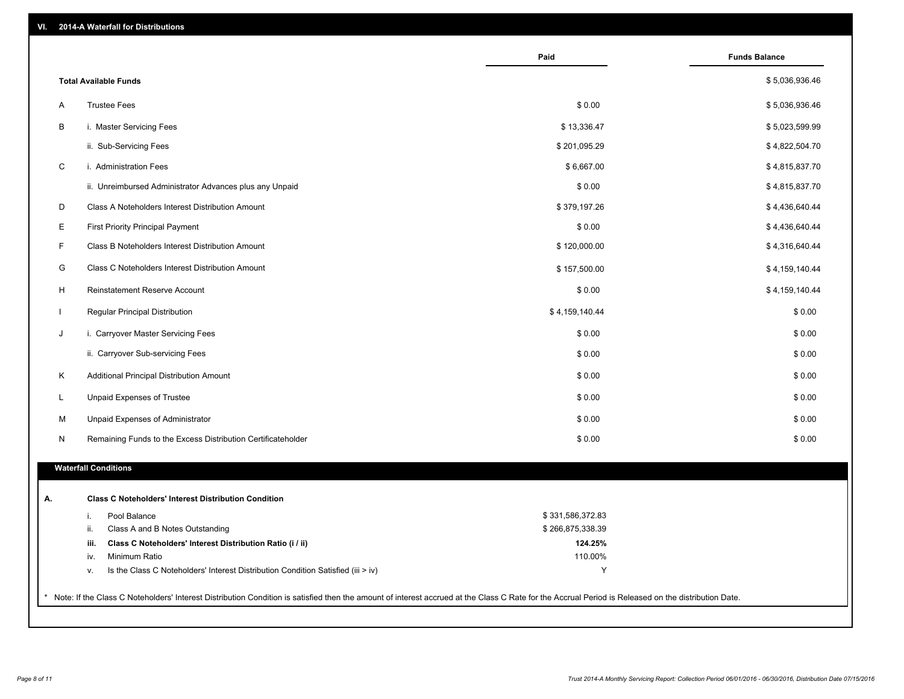| VI. |  | 2014-A Waterfall for Distributions |  |  |  |
|-----|--|------------------------------------|--|--|--|
|-----|--|------------------------------------|--|--|--|

|   |                                                                                        | Paid             | <b>Funds Balance</b> |
|---|----------------------------------------------------------------------------------------|------------------|----------------------|
|   | <b>Total Available Funds</b>                                                           |                  | \$5,036,936.46       |
| A | <b>Trustee Fees</b>                                                                    | \$0.00           | \$5,036,936.46       |
| B | i. Master Servicing Fees                                                               | \$13,336.47      | \$5,023,599.99       |
|   | ii. Sub-Servicing Fees                                                                 | \$201,095.29     | \$4,822,504.70       |
| C | i. Administration Fees                                                                 | \$6,667.00       | \$4,815,837.70       |
|   | ii. Unreimbursed Administrator Advances plus any Unpaid                                | \$0.00           | \$4,815,837.70       |
| D | Class A Noteholders Interest Distribution Amount                                       | \$379,197.26     | \$4,436,640.44       |
| E | <b>First Priority Principal Payment</b>                                                | \$0.00           | \$4,436,640.44       |
| F | Class B Noteholders Interest Distribution Amount                                       | \$120,000.00     | \$4,316,640.44       |
|   |                                                                                        |                  |                      |
| G | Class C Noteholders Interest Distribution Amount                                       | \$157,500.00     | \$4,159,140.44       |
| H | <b>Reinstatement Reserve Account</b>                                                   | \$0.00           | \$4,159,140.44       |
|   | Regular Principal Distribution                                                         | \$4,159,140.44   | \$0.00               |
| J | i. Carryover Master Servicing Fees                                                     | \$0.00           | \$0.00               |
|   | ii. Carryover Sub-servicing Fees                                                       | \$0.00           | \$0.00               |
| K | Additional Principal Distribution Amount                                               | \$0.00           | \$0.00               |
| L | Unpaid Expenses of Trustee                                                             | \$0.00           | \$0.00               |
| M | Unpaid Expenses of Administrator                                                       | \$0.00           | \$0.00               |
| N | Remaining Funds to the Excess Distribution Certificateholder                           | \$0.00           | \$0.00               |
|   | <b>Waterfall Conditions</b>                                                            |                  |                      |
|   | <b>Class C Noteholders' Interest Distribution Condition</b>                            |                  |                      |
|   | Pool Balance<br>i.                                                                     | \$331,586,372.83 |                      |
|   | ii.<br>Class A and B Notes Outstanding                                                 | \$266,875,338.39 |                      |
|   | Class C Noteholders' Interest Distribution Ratio (i / ii)<br>iii.                      | 124.25%          |                      |
|   | Minimum Ratio<br>iv.                                                                   | 110.00%          |                      |
|   | Is the Class C Noteholders' Interest Distribution Condition Satisfied (iii > iv)<br>ν. | Υ                |                      |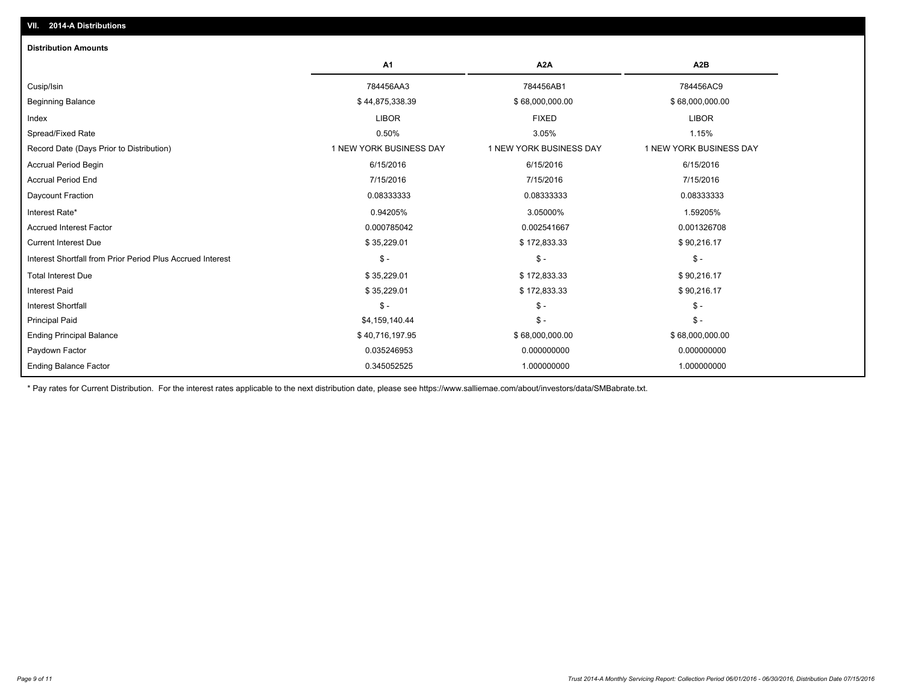| <b>Distribution Amounts</b>                                |                         |                         |                         |
|------------------------------------------------------------|-------------------------|-------------------------|-------------------------|
|                                                            | <b>A1</b>               | A <sub>2</sub> A        | A <sub>2</sub> B        |
| Cusip/Isin                                                 | 784456AA3               | 784456AB1               | 784456AC9               |
| <b>Beginning Balance</b>                                   | \$44,875,338.39         | \$68,000,000.00         | \$68,000,000.00         |
| Index                                                      | <b>LIBOR</b>            | <b>FIXED</b>            | <b>LIBOR</b>            |
| Spread/Fixed Rate                                          | 0.50%                   | 3.05%                   | 1.15%                   |
| Record Date (Days Prior to Distribution)                   | 1 NEW YORK BUSINESS DAY | 1 NEW YORK BUSINESS DAY | 1 NEW YORK BUSINESS DAY |
| Accrual Period Begin                                       | 6/15/2016               | 6/15/2016               | 6/15/2016               |
| <b>Accrual Period End</b>                                  | 7/15/2016               | 7/15/2016               | 7/15/2016               |
| Daycount Fraction                                          | 0.08333333              | 0.08333333              | 0.08333333              |
| Interest Rate*                                             | 0.94205%                | 3.05000%                | 1.59205%                |
| <b>Accrued Interest Factor</b>                             | 0.000785042             | 0.002541667             | 0.001326708             |
| <b>Current Interest Due</b>                                | \$35,229.01             | \$172,833.33            | \$90,216.17             |
| Interest Shortfall from Prior Period Plus Accrued Interest | $\mathsf{\$}$ -         | $\frac{2}{3}$ -         | $\mathsf{\$}$ -         |
| <b>Total Interest Due</b>                                  | \$35,229.01             | \$172,833.33            | \$90,216.17             |
| Interest Paid                                              | \$35,229.01             | \$172,833.33            | \$90,216.17             |
| <b>Interest Shortfall</b>                                  | $\mathsf{\$}$ -         | $\frac{2}{3}$ -         | $\mathsf{\$}$ -         |
| <b>Principal Paid</b>                                      | \$4,159,140.44          | $\frac{2}{3}$ -         | $\mathsf{\$}$ -         |
| <b>Ending Principal Balance</b>                            | \$40,716,197.95         | \$68,000,000.00         | \$68,000,000.00         |
| Paydown Factor                                             | 0.035246953             | 0.000000000             | 0.000000000             |
| <b>Ending Balance Factor</b>                               | 0.345052525             | 1.000000000             | 1.000000000             |

\* Pay rates for Current Distribution. For the interest rates applicable to the next distribution date, please see https://www.salliemae.com/about/investors/data/SMBabrate.txt.

**VII. 2014-A Distributions**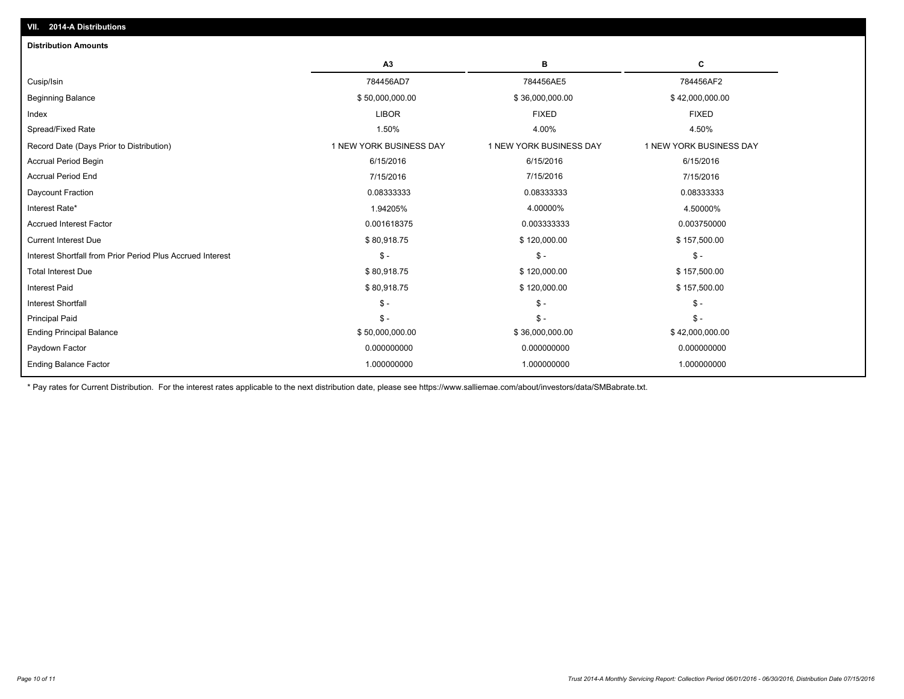| в<br>С<br>A3<br>784456AD7<br>784456AE5<br>784456AF2<br>\$50,000,000.00<br>\$36,000,000.00<br>\$42,000,000.00<br><b>LIBOR</b><br><b>FIXED</b><br><b>FIXED</b><br>1.50%<br>4.50%<br>4.00%<br>1 NEW YORK BUSINESS DAY<br>1 NEW YORK BUSINESS DAY<br>1 NEW YORK BUSINESS DAY<br>6/15/2016<br>6/15/2016<br>6/15/2016<br>7/15/2016<br>7/15/2016<br>7/15/2016<br>0.08333333<br>0.08333333<br>0.08333333<br>1.94205%<br>4.00000%<br>4.50000%<br>0.001618375<br>0.003750000<br>0.003333333<br>\$80,918.75<br>\$120,000.00<br>\$157,500.00<br>$$ -$<br>$\mathcal{S}$ -<br>$\mathsf{\$}$ -<br>\$80,918.75<br>\$120,000.00<br>\$157,500.00<br>\$80,918.75<br>\$120,000.00<br>\$157,500.00<br>$\mathsf{\$}$ -<br>$S -$<br>$\mathsf{\$}$ -<br>$S -$<br>$\mathsf{\$}$ -<br>$\mathsf{\$}$ -<br>\$50,000,000.00<br>\$36,000,000.00<br>\$42,000,000.00<br>0.000000000<br>0.000000000<br>0.000000000<br>1.000000000<br>1.000000000<br>1.000000000 | <b>Distribution Amounts</b>                                |  |  |
|--------------------------------------------------------------------------------------------------------------------------------------------------------------------------------------------------------------------------------------------------------------------------------------------------------------------------------------------------------------------------------------------------------------------------------------------------------------------------------------------------------------------------------------------------------------------------------------------------------------------------------------------------------------------------------------------------------------------------------------------------------------------------------------------------------------------------------------------------------------------------------------------------------------------------------|------------------------------------------------------------|--|--|
|                                                                                                                                                                                                                                                                                                                                                                                                                                                                                                                                                                                                                                                                                                                                                                                                                                                                                                                                |                                                            |  |  |
|                                                                                                                                                                                                                                                                                                                                                                                                                                                                                                                                                                                                                                                                                                                                                                                                                                                                                                                                | Cusip/Isin                                                 |  |  |
|                                                                                                                                                                                                                                                                                                                                                                                                                                                                                                                                                                                                                                                                                                                                                                                                                                                                                                                                | <b>Beginning Balance</b>                                   |  |  |
|                                                                                                                                                                                                                                                                                                                                                                                                                                                                                                                                                                                                                                                                                                                                                                                                                                                                                                                                | Index                                                      |  |  |
|                                                                                                                                                                                                                                                                                                                                                                                                                                                                                                                                                                                                                                                                                                                                                                                                                                                                                                                                | Spread/Fixed Rate                                          |  |  |
|                                                                                                                                                                                                                                                                                                                                                                                                                                                                                                                                                                                                                                                                                                                                                                                                                                                                                                                                | Record Date (Days Prior to Distribution)                   |  |  |
|                                                                                                                                                                                                                                                                                                                                                                                                                                                                                                                                                                                                                                                                                                                                                                                                                                                                                                                                | <b>Accrual Period Begin</b>                                |  |  |
|                                                                                                                                                                                                                                                                                                                                                                                                                                                                                                                                                                                                                                                                                                                                                                                                                                                                                                                                | <b>Accrual Period End</b>                                  |  |  |
|                                                                                                                                                                                                                                                                                                                                                                                                                                                                                                                                                                                                                                                                                                                                                                                                                                                                                                                                | Daycount Fraction                                          |  |  |
|                                                                                                                                                                                                                                                                                                                                                                                                                                                                                                                                                                                                                                                                                                                                                                                                                                                                                                                                | Interest Rate*                                             |  |  |
|                                                                                                                                                                                                                                                                                                                                                                                                                                                                                                                                                                                                                                                                                                                                                                                                                                                                                                                                | <b>Accrued Interest Factor</b>                             |  |  |
|                                                                                                                                                                                                                                                                                                                                                                                                                                                                                                                                                                                                                                                                                                                                                                                                                                                                                                                                | <b>Current Interest Due</b>                                |  |  |
|                                                                                                                                                                                                                                                                                                                                                                                                                                                                                                                                                                                                                                                                                                                                                                                                                                                                                                                                | Interest Shortfall from Prior Period Plus Accrued Interest |  |  |
|                                                                                                                                                                                                                                                                                                                                                                                                                                                                                                                                                                                                                                                                                                                                                                                                                                                                                                                                | <b>Total Interest Due</b>                                  |  |  |
|                                                                                                                                                                                                                                                                                                                                                                                                                                                                                                                                                                                                                                                                                                                                                                                                                                                                                                                                | <b>Interest Paid</b>                                       |  |  |
|                                                                                                                                                                                                                                                                                                                                                                                                                                                                                                                                                                                                                                                                                                                                                                                                                                                                                                                                | <b>Interest Shortfall</b>                                  |  |  |
|                                                                                                                                                                                                                                                                                                                                                                                                                                                                                                                                                                                                                                                                                                                                                                                                                                                                                                                                | <b>Principal Paid</b>                                      |  |  |
|                                                                                                                                                                                                                                                                                                                                                                                                                                                                                                                                                                                                                                                                                                                                                                                                                                                                                                                                | <b>Ending Principal Balance</b>                            |  |  |
|                                                                                                                                                                                                                                                                                                                                                                                                                                                                                                                                                                                                                                                                                                                                                                                                                                                                                                                                | Paydown Factor                                             |  |  |
|                                                                                                                                                                                                                                                                                                                                                                                                                                                                                                                                                                                                                                                                                                                                                                                                                                                                                                                                | <b>Ending Balance Factor</b>                               |  |  |

\* Pay rates for Current Distribution. For the interest rates applicable to the next distribution date, please see https://www.salliemae.com/about/investors/data/SMBabrate.txt.

**VII. 2014-A Distributions**